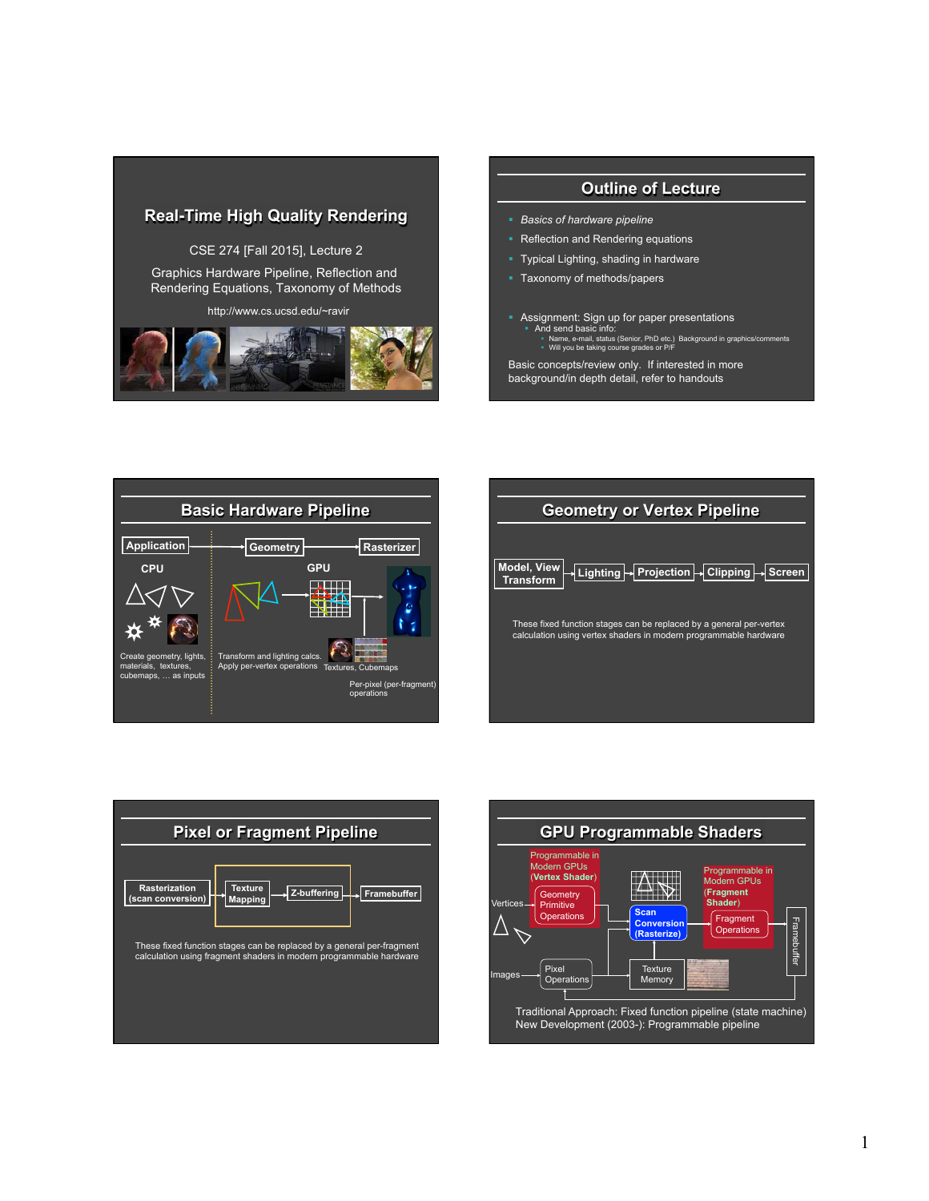# **Real-Time High Quality Rendering**

CSE 274 [Fall 2015], Lecture 2

Graphics Hardware Pipeline, Reflection and Rendering Equations, Taxonomy of Methods

http://www.cs.ucsd.edu/~ravir



### **Outline of Lecture**

- § *Basics of hardware pipeline*
- Reflection and Rendering equations
- § Typical Lighting, shading in hardware
- § Taxonomy of methods/papers
- Assignment: Sign up for paper presentations<br>
And send basic info:<br>
Name, e-mail, status (Senior, PhD etc.) Background in graphics/comments<br>
Will you be taking course grades or P/F

Basic concepts/review only. If interested in more background/in depth detail, refer to handouts



| <b>Geometry or Vertex Pipeline</b>                                                                                                      |
|-----------------------------------------------------------------------------------------------------------------------------------------|
|                                                                                                                                         |
| <b>Model, View</b><br>Lighting → Projection → Clipping → Screen<br><b>Transform</b>                                                     |
| These fixed function stages can be replaced by a general per-vertex<br>calculation using vertex shaders in modern programmable hardware |
|                                                                                                                                         |



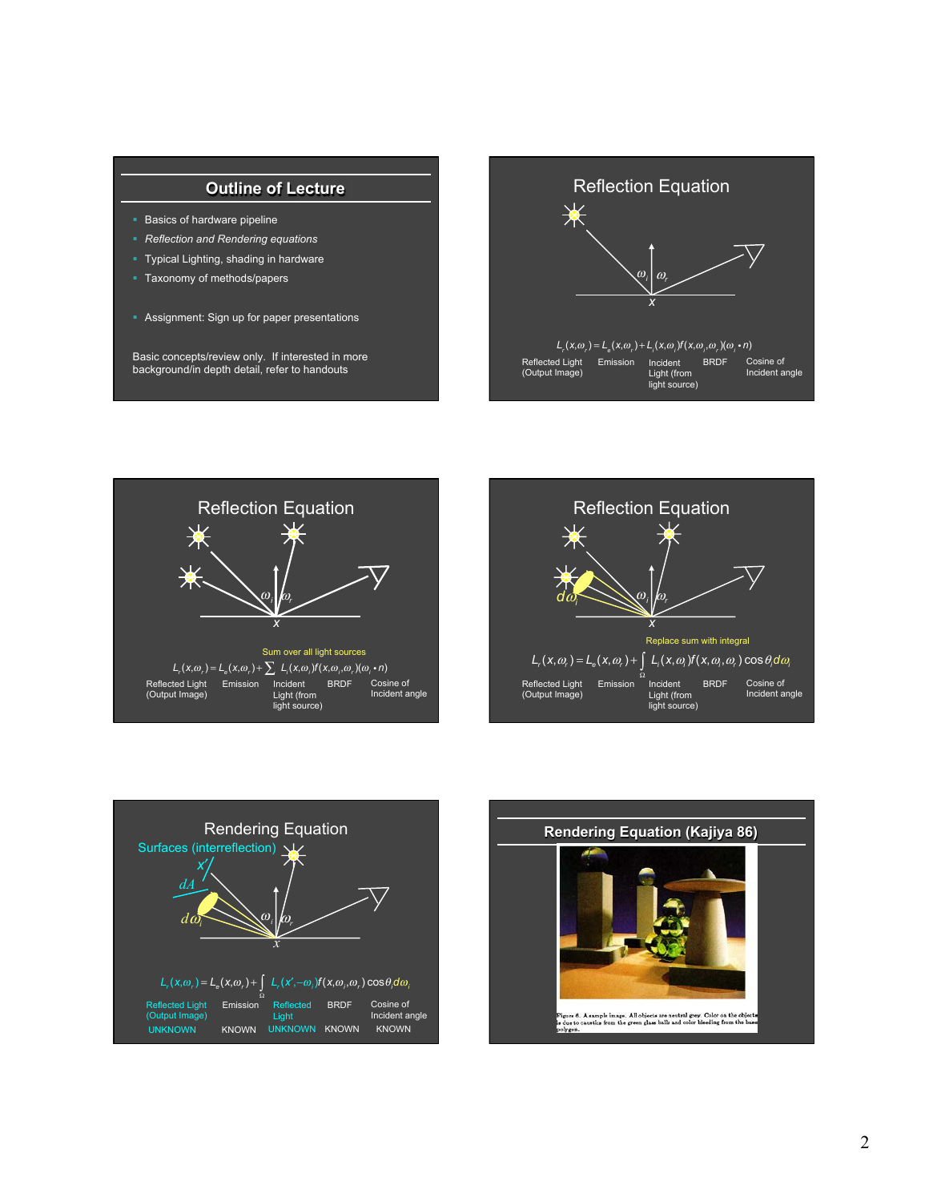# **Outline of Lecture**

- **Basics of hardware pipeline**
- § *Reflection and Rendering equations*
- § Typical Lighting, shading in hardware
- § Taxonomy of methods/papers
- **Assignment: Sign up for paper presentations**

Basic concepts/review only. If interested in more background/in depth detail, refer to handouts









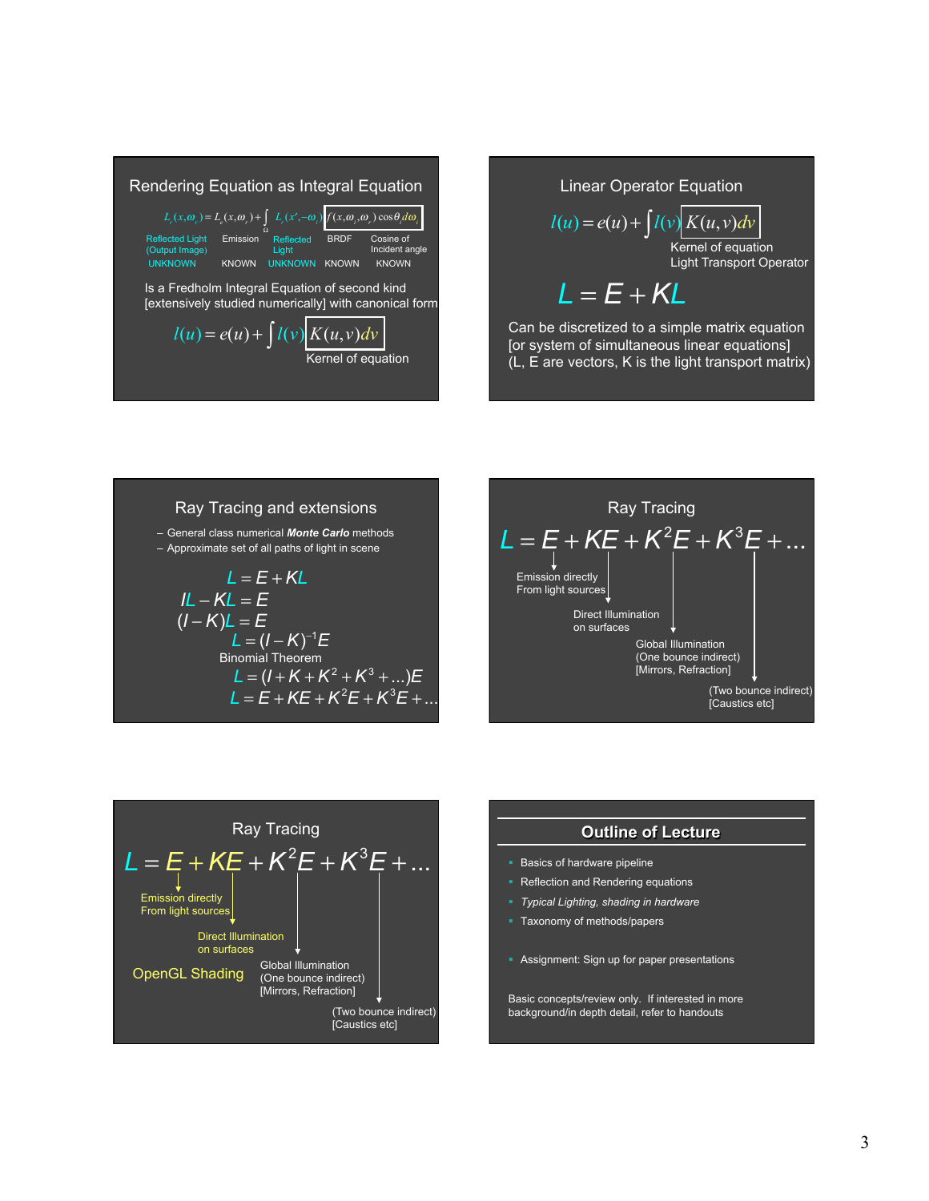



# Ray Tracing and extensions

– General class numerical *Monte Carlo* methods – Approximate set of all paths of light in scene

$$
L = E + KL
$$
  
\n
$$
IL - KL = E
$$
  
\n
$$
(I - K)L = E
$$
  
\n
$$
L = (I - K)^{-1}E
$$
  
\nBinomial Theorem  
\n
$$
L = (I + K + K^2 + K^3 + ...)E
$$
  
\n
$$
L = E + KE + K^2E + K^3E + ...
$$





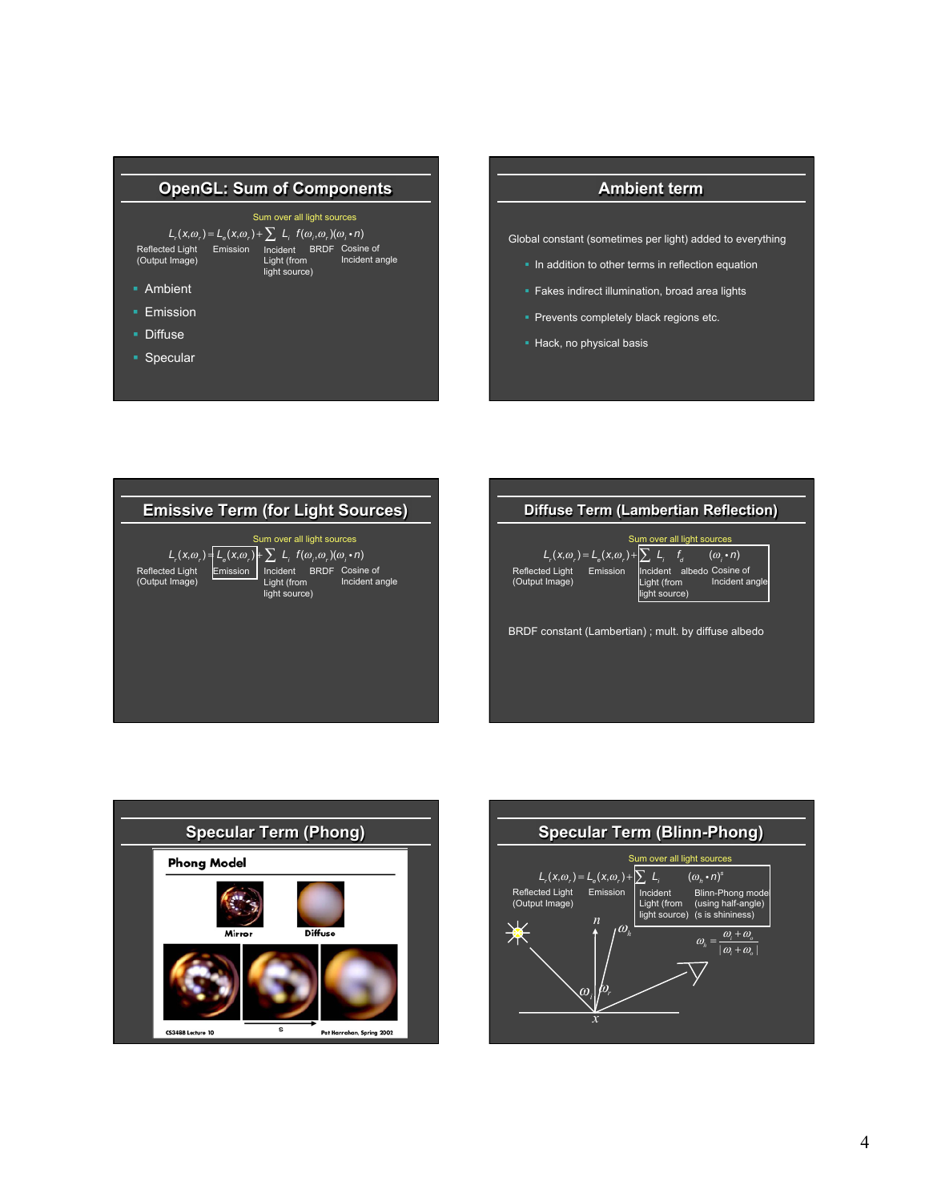

## **Ambient term**

Global constant (sometimes per light) added to everything

- In addition to other terms in reflection equation
- **Fakes indirect illumination, broad area lights**
- § Prevents completely black regions etc.
- § Hack, no physical basis







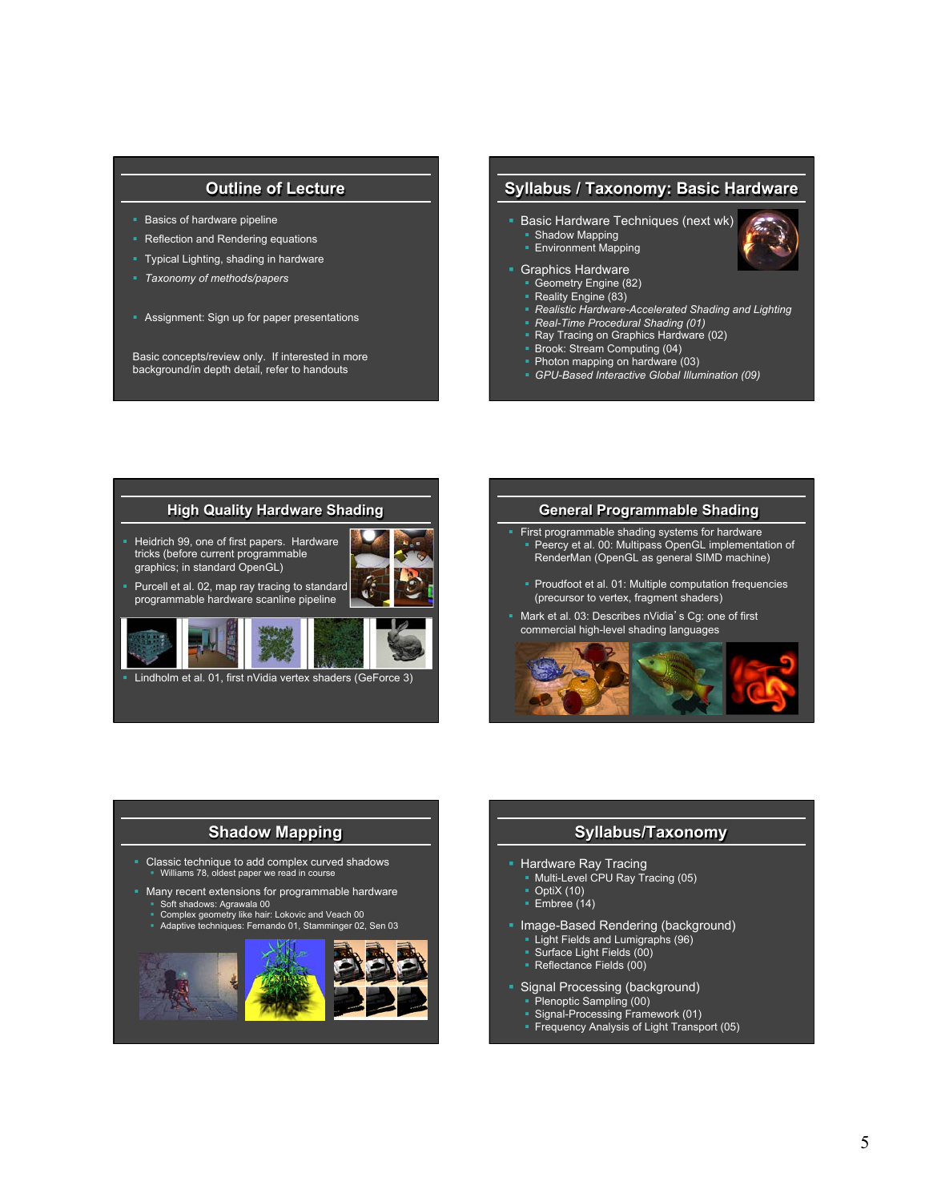# **Outline of Lecture**

- **Basics of hardware pipeline**
- Reflection and Rendering equations
- § Typical Lighting, shading in hardware
- § *Taxonomy of methods/papers*
- **Assignment: Sign up for paper presentations**

Basic concepts/review only. If interested in more background/in depth detail, refer to handouts

### **Syllabus / Taxonomy: Basic Hardware**

- § Basic Hardware Techniques (next wk) ■ Shadow Mapping **Environment Mapping**
- § Graphics Hardware
- § Geometry Engine (82)
- Reality Engine (83)
- § *Realistic Hardware-Accelerated Shading and Lighting*
- § *Real-Time Procedural Shading (01)*
- § Ray Tracing on Graphics Hardware (02)
- § Brook: Stream Computing (04)
- § Photon mapping on hardware (03)
- § *GPU-Based Interactive Global Illumination (09)*



Lindholm et al. 01, first nVidia vertex shaders (GeForce 3)

#### **General Programmable Shading**

- First programmable shading systems for hardware Peercy et al. 00: Multipass OpenGL implementation of RenderMan (OpenGL as general SIMD machine)
- § Proudfoot et al. 01: Multiple computation frequencies (precursor to vertex, fragment shaders)
- § Mark et al. 03: Describes nVidia's Cg: one of first commercial high-level shading languages



# **Shadow Mapping**

- § Classic technique to add complex curved shadows § Williams 78, oldest paper we read in course
- Many recent extensions for programmable hardware
- § Soft shadows: Agrawala 00 § Complex geometry like hair: Lokovic and Veach 00 § Adaptive techniques: Fernando 01, Stamminger 02, Sen 03
- 



### **Syllabus/Taxonomy**

- § Hardware Ray Tracing
- § Multi-Level CPU Ray Tracing (05)
- $\overline{\phantom{a}}$  OptiX (10)
- $\overline{\phantom{a}}$  Embree (14)
- Image-Based Rendering (background)
	- **Light Fields and Lumigraphs (96)**
	- § Surface Light Fields (00) § Reflectance Fields (00)
	-
- **Signal Processing (background)** 
	- § Plenoptic Sampling (00)
	- § Signal-Processing Framework (01)
	- § Frequency Analysis of Light Transport (05)